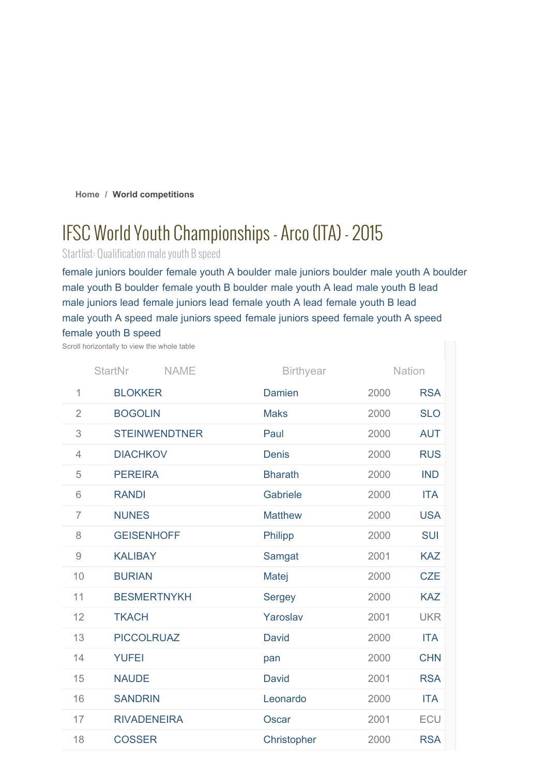**Home / World competitions**

# IFSC World Youth Championships- Arco (ITA) - 2015

Startlist: Qualification male youth B speed

female juniors boulder female youth A boulder male juniors boulder male youth A boulder male youth B boulder female youth B boulder male youth A lead male youth B lead male juniors lead female juniors lead female youth A lead female youth B lead male youth A speed male juniors speed female juniors speed female youth A speed female youth B speed

Scroll horizontally to view the whole table

| <b>StartNr</b><br><b>NAME</b>                             |                      | <b>Birthyear</b> |      | Nation     |  |
|-----------------------------------------------------------|----------------------|------------------|------|------------|--|
| 1                                                         | <b>BLOKKER</b>       | <b>Damien</b>    | 2000 | <b>RSA</b> |  |
| $\overline{2}$                                            | <b>BOGOLIN</b>       | <b>Maks</b>      | 2000 | <b>SLO</b> |  |
| 3                                                         | <b>STEINWENDTNER</b> | Paul             | 2000 | <b>AUT</b> |  |
| $\overline{4}$                                            | <b>DIACHKOV</b>      | <b>Denis</b>     | 2000 | <b>RUS</b> |  |
| 5                                                         | <b>PEREIRA</b>       | <b>Bharath</b>   | 2000 | <b>IND</b> |  |
| 6                                                         | <b>RANDI</b>         | Gabriele         | 2000 | <b>ITA</b> |  |
| $\overline{7}$                                            | <b>NUNES</b>         | <b>Matthew</b>   | 2000 | <b>USA</b> |  |
| 8                                                         | <b>GEISENHOFF</b>    | Philipp          | 2000 | <b>SUI</b> |  |
| $\mathcal{G}% _{M_{1},M_{2}}^{\alpha,\beta}(\mathcal{A})$ | <b>KALIBAY</b>       | Samgat           | 2001 | <b>KAZ</b> |  |
| 10                                                        | <b>BURIAN</b>        | Matej            | 2000 | <b>CZE</b> |  |
| 11                                                        | <b>BESMERTNYKH</b>   | <b>Sergey</b>    | 2000 | <b>KAZ</b> |  |
| 12                                                        | <b>TKACH</b>         | Yaroslav         | 2001 | <b>UKR</b> |  |
| 13                                                        | <b>PICCOLRUAZ</b>    | <b>David</b>     | 2000 | <b>ITA</b> |  |
| 14                                                        | <b>YUFEI</b>         | pan              | 2000 | <b>CHN</b> |  |
| 15                                                        | <b>NAUDE</b>         | <b>David</b>     | 2001 | <b>RSA</b> |  |
| 16                                                        | <b>SANDRIN</b>       | Leonardo         | 2000 | <b>ITA</b> |  |
| 17                                                        | <b>RIVADENEIRA</b>   | Oscar            | 2001 | ECU        |  |
| 18                                                        | <b>COSSER</b>        | Christopher      | 2000 | <b>RSA</b> |  |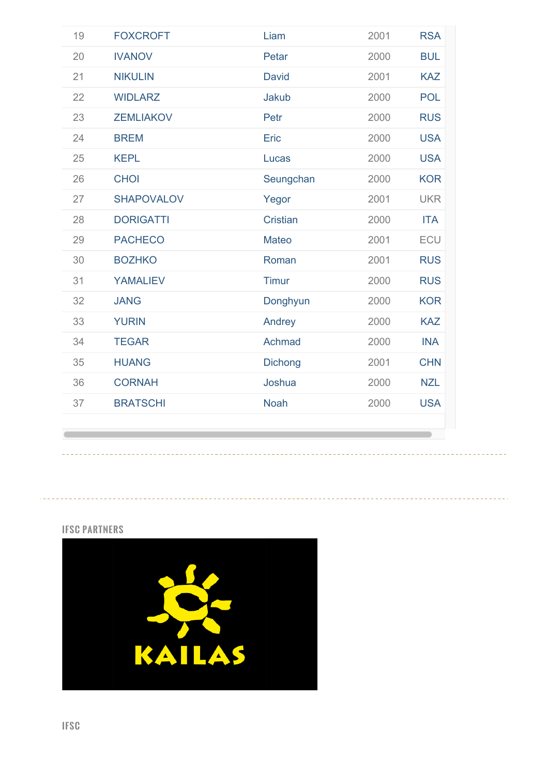| 19 | <b>FOXCROFT</b>   | Liam            | 2001 | <b>RSA</b> |
|----|-------------------|-----------------|------|------------|
| 20 | <b>IVANOV</b>     | Petar           | 2000 | <b>BUL</b> |
| 21 | <b>NIKULIN</b>    | <b>David</b>    | 2001 | <b>KAZ</b> |
| 22 | <b>WIDLARZ</b>    | Jakub           | 2000 | <b>POL</b> |
| 23 | <b>ZEMLIAKOV</b>  | Petr            | 2000 | <b>RUS</b> |
| 24 | <b>BREM</b>       | Eric            | 2000 | <b>USA</b> |
| 25 | <b>KEPL</b>       | Lucas           | 2000 | <b>USA</b> |
| 26 | <b>CHOI</b>       | Seungchan       | 2000 | <b>KOR</b> |
| 27 | <b>SHAPOVALOV</b> | Yegor           | 2001 | <b>UKR</b> |
| 28 | <b>DORIGATTI</b>  | <b>Cristian</b> | 2000 | <b>ITA</b> |
| 29 | <b>PACHECO</b>    | <b>Mateo</b>    | 2001 | ECU        |
| 30 | <b>BOZHKO</b>     | Roman           | 2001 | <b>RUS</b> |
| 31 | <b>YAMALIEV</b>   | <b>Timur</b>    | 2000 | <b>RUS</b> |
| 32 | <b>JANG</b>       | Donghyun        | 2000 | <b>KOR</b> |
| 33 | <b>YURIN</b>      | Andrey          | 2000 | <b>KAZ</b> |
| 34 | <b>TEGAR</b>      | Achmad          | 2000 | <b>INA</b> |
| 35 | <b>HUANG</b>      | <b>Dichong</b>  | 2001 | <b>CHN</b> |
| 36 | <b>CORNAH</b>     | Joshua          | 2000 | <b>NZL</b> |
| 37 | <b>BRATSCHI</b>   | <b>Noah</b>     | 2000 | <b>USA</b> |
|    |                   |                 |      |            |

----------

## IFSC PARTNERS